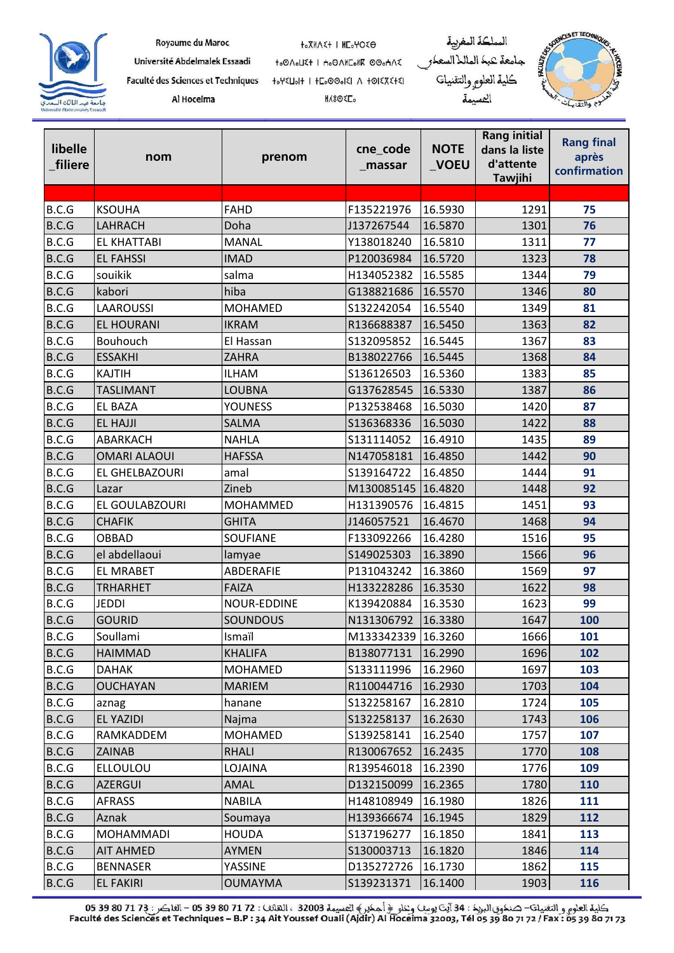|                                                           | Royaume du Maroc                   | <b>HOXMASH I MEGHOSO</b>        | المملكة المغربية       |                                    |
|-----------------------------------------------------------|------------------------------------|---------------------------------|------------------------|------------------------------------|
|                                                           | Université Abdelmalek Essaadi      | to OnoLIE+   Ho O AMEONE OOOHAE | جامعة كبك الماللاالسعك | <b>PARTIAL AREA</b><br><b>ULTE</b> |
|                                                           | Faculté des Sciences et Techniques | HOYSIOH I HEOOOOKI A HOISTSHEI  | كلية العلوم والتقنيات  |                                    |
| جابعة عبد المالك التعدي<br>Université Flüdelmaleh Essaadi | Al Hoceima                         | <b>MASOEL</b>                   | كسممة                  |                                    |

| libelle<br>filiere | nom                 | prenom          | cne_code<br>_massar | <b>NOTE</b><br>_VOEU | <b>Rang initial</b><br>dans la liste<br>d'attente<br>Tawjihi | <b>Rang final</b><br>après<br>confirmation |
|--------------------|---------------------|-----------------|---------------------|----------------------|--------------------------------------------------------------|--------------------------------------------|
|                    |                     |                 |                     |                      |                                                              |                                            |
| B.C.G              | <b>KSOUHA</b>       | <b>FAHD</b>     | F135221976          | 16.5930              | 1291                                                         | 75                                         |
| B.C.G              | LAHRACH             | Doha            | J137267544          | 16.5870              | 1301                                                         | 76                                         |
| B.C.G              | <b>EL KHATTABI</b>  | <b>MANAL</b>    | Y138018240          | 16.5810              | 1311                                                         | 77                                         |
| B.C.G              | <b>EL FAHSSI</b>    | <b>IMAD</b>     | P120036984          | 16.5720              | 1323                                                         | 78                                         |
| B.C.G              | souikik             | salma           | H134052382          | 16.5585              | 1344                                                         | 79                                         |
| B.C.G              | kabori              | hiba            | G138821686          | 16.5570              | 1346                                                         | 80                                         |
| B.C.G              | <b>LAAROUSSI</b>    | <b>MOHAMED</b>  | S132242054          | 16.5540              | 1349                                                         | 81                                         |
| B.C.G              | <b>EL HOURANI</b>   | <b>IKRAM</b>    | R136688387          | 16.5450              | 1363                                                         | 82                                         |
| B.C.G              | Bouhouch            | El Hassan       | S132095852          | 16.5445              | 1367                                                         | 83                                         |
| B.C.G              | <b>ESSAKHI</b>      | <b>ZAHRA</b>    | B138022766          | 16.5445              | 1368                                                         | 84                                         |
| B.C.G              | <b>KAJTIH</b>       | <b>ILHAM</b>    | S136126503          | 16.5360              | 1383                                                         | 85                                         |
| B.C.G              | <b>TASLIMANT</b>    | <b>LOUBNA</b>   | G137628545          | 16.5330              | 1387                                                         | 86                                         |
| B.C.G              | <b>EL BAZA</b>      | <b>YOUNESS</b>  | P132538468          | 16.5030              | 1420                                                         | 87                                         |
| B.C.G              | <b>EL HAJJI</b>     | <b>SALMA</b>    | S136368336          | 16.5030              | 1422                                                         | 88                                         |
| B.C.G              | ABARKACH            | <b>NAHLA</b>    | S131114052          | 16.4910              | 1435                                                         | 89                                         |
| B.C.G              | <b>OMARI ALAOUI</b> | <b>HAFSSA</b>   | N147058181          | 16.4850              | 1442                                                         | 90                                         |
| B.C.G              | EL GHELBAZOURI      | amal            | S139164722          | 16.4850              | 1444                                                         | 91                                         |
| B.C.G              | Lazar               | Zineb           | M130085145 16.4820  |                      | 1448                                                         | 92                                         |
| B.C.G              | EL GOULABZOURI      | MOHAMMED        | H131390576          | 16.4815              | 1451                                                         | 93                                         |
| B.C.G              | <b>CHAFIK</b>       | <b>GHITA</b>    | J146057521          | 16.4670              | 1468                                                         | 94                                         |
| B.C.G              | <b>OBBAD</b>        | <b>SOUFIANE</b> | F133092266          | 16.4280              | 1516                                                         | 95                                         |
| B.C.G              | el abdellaoui       | lamyae          | S149025303          | 16.3890              | 1566                                                         | 96                                         |
| B.C.G              | <b>EL MRABET</b>    | ABDERAFIE       | P131043242          | 16.3860              | 1569                                                         | 97                                         |
| B.C.G              | <b>TRHARHET</b>     | <b>FAIZA</b>    | H133228286          | 16.3530              | 1622                                                         | 98                                         |
| B.C.G              | <b>JEDDI</b>        | NOUR-EDDINE     | K139420884          | 16.3530              | 1623                                                         | 99                                         |
| B.C.G              | <b>GOURID</b>       | <b>SOUNDOUS</b> | N131306792          | 16.3380              | 1647                                                         | 100                                        |
| B.C.G              | Soullami            | Ismaïl          | M133342339 16.3260  |                      | 1666                                                         | 101                                        |
| B.C.G              | <b>HAIMMAD</b>      | <b>KHALIFA</b>  | B138077131          | 16.2990              | 1696                                                         | 102                                        |
| B.C.G              | <b>DAHAK</b>        | <b>MOHAMED</b>  | S133111996          | 16.2960              | 1697                                                         | 103                                        |
| B.C.G              | <b>OUCHAYAN</b>     | <b>MARIEM</b>   | R110044716          | 16.2930              | 1703                                                         | 104                                        |
| B.C.G              | aznag               | hanane          | S132258167          | 16.2810              | 1724                                                         | 105                                        |
| B.C.G              | EL YAZIDI           | Najma           | S132258137          | 16.2630              | 1743                                                         | 106                                        |
| B.C.G              | RAMKADDEM           | <b>MOHAMED</b>  | S139258141          | 16.2540              | 1757                                                         | 107                                        |
| B.C.G              | ZAINAB              | <b>RHALI</b>    | R130067652          | 16.2435              | 1770                                                         | 108                                        |
| B.C.G              | <b>ELLOULOU</b>     | LOJAINA         | R139546018          | 16.2390              | 1776                                                         | 109                                        |
| B.C.G              | <b>AZERGUI</b>      | AMAL            | D132150099          | 16.2365              | 1780                                                         | 110                                        |
| B.C.G              | <b>AFRASS</b>       | <b>NABILA</b>   | H148108949          | 16.1980              | 1826                                                         | 111                                        |
| B.C.G              | Aznak               | Soumaya         | H139366674          | 16.1945              | 1829                                                         | 112                                        |
| B.C.G              | <b>MOHAMMADI</b>    | <b>HOUDA</b>    | S137196277          | 16.1850              | 1841                                                         | 113                                        |
| B.C.G              | <b>AIT AHMED</b>    | <b>AYMEN</b>    | S130003713          | 16.1820              | 1846                                                         | 114                                        |
| B.C.G              | <b>BENNASER</b>     | YASSINE         | D135272726          | 16.1730              | 1862                                                         | 115                                        |
| B.C.G              | <b>EL FAKIRI</b>    | <b>OUMAYMA</b>  | S139231371          | 16.1400              | 1903                                                         | 116                                        |

كلية العلوم و التقنيات– صنكوق البريك : 34 آيت يوسف وعلو ﴿ أحكير ﴾ الحسيمة 32003 ، النقلات : 27 17 30 5 60 – الفلكس : 13 72 80 50 - 05 59<br>Faculté des Sciences et Techniques – B.P : 34 Ait Youssef Ouali (Ajdir) Al Hoceima 3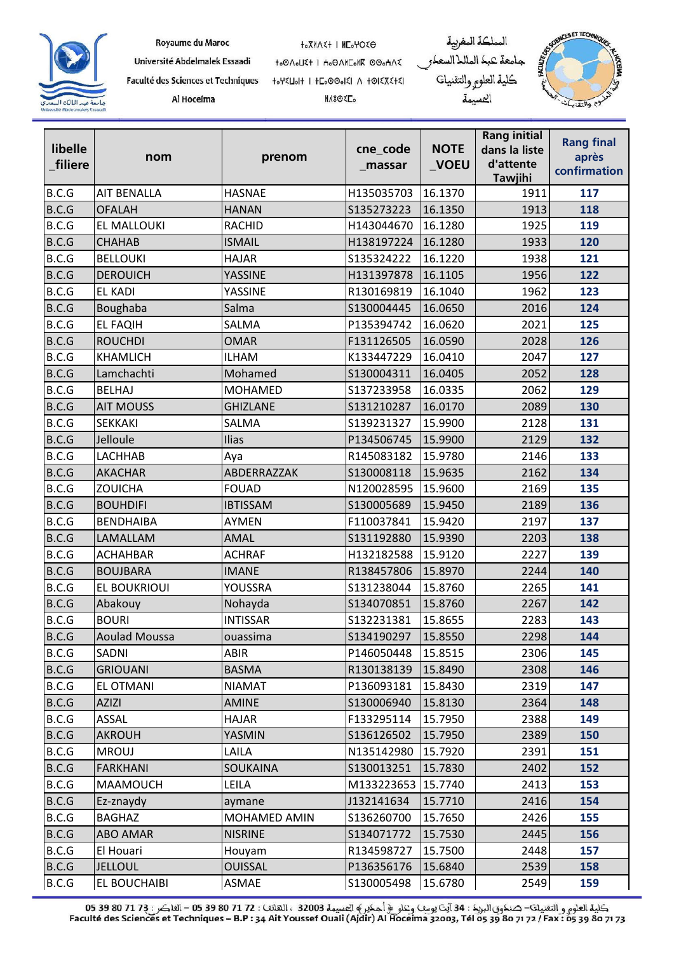

Royaume du Maroc

Université Abdelmalek Essaadi

Faculté des Sciences et Techniques Al Hoceima

**t**.XMAE+ I HE.YOEO to OAOUE+ | Ho OANEONK OOOHAE 

**MASORE**.





| libelle<br>filiere | nom                  | prenom          | cne_code<br>_massar | <b>NOTE</b><br>_VOEU | <b>Rang initial</b><br>dans la liste<br>d'attente<br><b>Tawjihi</b> | <b>Rang final</b><br>après<br>confirmation |
|--------------------|----------------------|-----------------|---------------------|----------------------|---------------------------------------------------------------------|--------------------------------------------|
| B.C.G              | <b>AIT BENALLA</b>   | <b>HASNAE</b>   | H135035703          | 16.1370              | 1911                                                                | 117                                        |
| B.C.G              | <b>OFALAH</b>        | <b>HANAN</b>    | S135273223          | 16.1350              | 1913                                                                | 118                                        |
| B.C.G              | EL MALLOUKI          | <b>RACHID</b>   | H143044670          | 16.1280              | 1925                                                                | 119                                        |
| B.C.G              | <b>CHAHAB</b>        | <b>ISMAIL</b>   | H138197224          | 16.1280              | 1933                                                                | 120                                        |
| B.C.G              | <b>BELLOUKI</b>      | <b>HAJAR</b>    | S135324222          | 16.1220              | 1938                                                                | 121                                        |
| B.C.G              | <b>DEROUICH</b>      | YASSINE         | H131397878          | 16.1105              | 1956                                                                | 122                                        |
| B.C.G              | <b>EL KADI</b>       | YASSINE         | R130169819          | 16.1040              | 1962                                                                | 123                                        |
| B.C.G              | Boughaba             | Salma           | S130004445          | 16.0650              | 2016                                                                | 124                                        |
| B.C.G              | <b>EL FAQIH</b>      | SALMA           | P135394742          | 16.0620              | 2021                                                                | 125                                        |
| B.C.G              | <b>ROUCHDI</b>       | <b>OMAR</b>     | F131126505          | 16.0590              | 2028                                                                | 126                                        |
| B.C.G              | <b>KHAMLICH</b>      | <b>ILHAM</b>    | K133447229          | 16.0410              | 2047                                                                | 127                                        |
| B.C.G              | Lamchachti           | Mohamed         | S130004311          | 16.0405              | 2052                                                                | 128                                        |
| B.C.G              | <b>BELHAJ</b>        | <b>MOHAMED</b>  | S137233958          | 16.0335              | 2062                                                                | 129                                        |
| B.C.G              | <b>AIT MOUSS</b>     | <b>GHIZLANE</b> | S131210287          | 16.0170              | 2089                                                                | 130                                        |
| B.C.G              | <b>SEKKAKI</b>       | <b>SALMA</b>    | S139231327          | 15.9900              | 2128                                                                | 131                                        |
| B.C.G              | Jelloule             | Ilias           | P134506745          | 15.9900              | 2129                                                                | 132                                        |
| B.C.G              | LACHHAB              | Aya             | R145083182          | 15.9780              | 2146                                                                | 133                                        |
| B.C.G              | <b>AKACHAR</b>       | ABDERRAZZAK     | S130008118          | 15.9635              | 2162                                                                | 134                                        |
| B.C.G              | <b>ZOUICHA</b>       | <b>FOUAD</b>    | N120028595          | 15.9600              | 2169                                                                | 135                                        |
| B.C.G              | <b>BOUHDIFI</b>      | <b>IBTISSAM</b> | S130005689          | 15.9450              | 2189                                                                | 136                                        |
| B.C.G              | <b>BENDHAIBA</b>     | <b>AYMEN</b>    | F110037841          | 15.9420              | 2197                                                                | 137                                        |
| B.C.G              | LAMALLAM             | <b>AMAL</b>     | S131192880          | 15.9390              | 2203                                                                | 138                                        |
| B.C.G              | <b>ACHAHBAR</b>      | <b>ACHRAF</b>   | H132182588          | 15.9120              | 2227                                                                | 139                                        |
| B.C.G              | <b>BOUJBARA</b>      | <b>IMANE</b>    | R138457806          | 15.8970              | 2244                                                                | 140                                        |
| B.C.G              | <b>EL BOUKRIOUI</b>  | YOUSSRA         | S131238044          | 15.8760              | 2265                                                                | 141                                        |
| B.C.G              | Abakouy              | Nohayda         | S134070851          | 15.8760              | 2267                                                                | 142                                        |
| B.C.G              | <b>BOURI</b>         | <b>INTISSAR</b> | S132231381          | 15.8655              | 2283                                                                | 143                                        |
| B.C.G              | <b>Aoulad Moussa</b> | ouassima        | S134190297          | 15.8550              | 2298                                                                | 144                                        |
| B.C.G              | SADNI                | ABIR            | P146050448          | 15.8515              | 2306                                                                | 145                                        |
| B.C.G              | <b>GRIOUANI</b>      | <b>BASMA</b>    | R130138139          | 15.8490              | 2308                                                                | 146                                        |
| B.C.G              | EL OTMANI            | <b>NIAMAT</b>   | P136093181          | 15.8430              | 2319                                                                | 147                                        |
| B.C.G              | <b>AZIZI</b>         | AMINE           | S130006940          | 15.8130              | 2364                                                                | 148                                        |
| B.C.G              | ASSAL                | <b>HAJAR</b>    | F133295114          | 15.7950              | 2388                                                                | 149                                        |
| B.C.G              | <b>AKROUH</b>        | YASMIN          | S136126502          | 15.7950              | 2389                                                                | 150                                        |
| B.C.G              | <b>MROUJ</b>         | LAILA           | N135142980          | 15.7920              | 2391                                                                | 151                                        |
| B.C.G              | <b>FARKHANI</b>      | <b>SOUKAINA</b> | S130013251          | 15.7830              | 2402                                                                | 152                                        |
| B.C.G              | MAAMOUCH             | LEILA           | M133223653          | 15.7740              | 2413                                                                | 153                                        |
| B.C.G              | Ez-znaydy            | aymane          | J132141634          | 15.7710              | 2416                                                                | 154                                        |
| B.C.G              | <b>BAGHAZ</b>        | MOHAMED AMIN    | S136260700          | 15.7650              | 2426                                                                | 155                                        |
| B.C.G              | ABO AMAR             | <b>NISRINE</b>  | S134071772          | 15.7530              | 2445                                                                | 156                                        |
| B.C.G              | El Houari            | Houyam          | R134598727          | 15.7500              | 2448                                                                | 157                                        |
| B.C.G              | <b>JELLOUL</b>       | <b>OUISSAL</b>  | P136356176          | 15.6840              | 2539                                                                | 158                                        |
| B.C.G              | EL BOUCHAIBI         | ASMAE           | S130005498          | 15.6780              | 2549                                                                | 159                                        |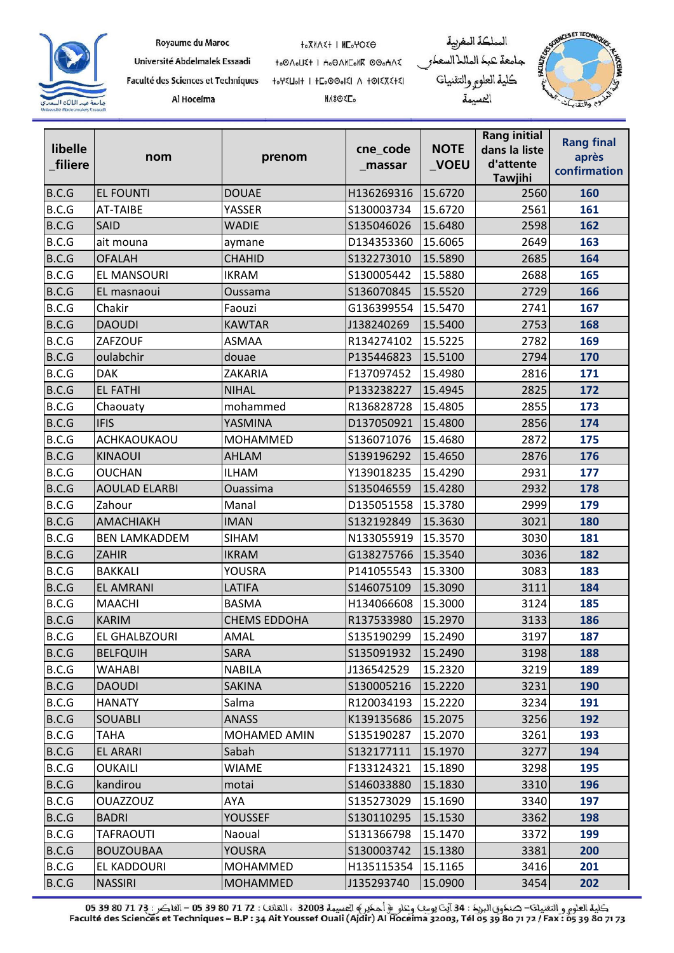

Université Abdelmalek Essaadi Faculté des Sciences et Techniques

Al Hoceima

to OAOUE+ | Ho OANEONK OOOHAE 

**MASORE**.





| libelle<br>filiere | nom                  | prenom              | cne_code<br>_massar | <b>NOTE</b><br>$\sqrt{}$ VOEU | <b>Rang initial</b><br>dans la liste<br>d'attente<br><b>Tawjihi</b> | <b>Rang final</b><br>après<br>confirmation |
|--------------------|----------------------|---------------------|---------------------|-------------------------------|---------------------------------------------------------------------|--------------------------------------------|
| B.C.G              | <b>EL FOUNTI</b>     | <b>DOUAE</b>        | H136269316          | 15.6720                       | 2560                                                                | 160                                        |
| B.C.G              | <b>AT-TAIBE</b>      | YASSER              | S130003734          | 15.6720                       | 2561                                                                | 161                                        |
| B.C.G              | SAID                 | <b>WADIE</b>        | S135046026          | 15.6480                       | 2598                                                                | 162                                        |
| B.C.G              | ait mouna            | aymane              | D134353360          | 15.6065                       | 2649                                                                | 163                                        |
| B.C.G              | <b>OFALAH</b>        | <b>CHAHID</b>       | S132273010          | 15.5890                       | 2685                                                                | 164                                        |
| B.C.G              | EL MANSOURI          | <b>IKRAM</b>        | S130005442          | 15.5880                       | 2688                                                                | 165                                        |
| B.C.G              | EL masnaoui          | Oussama             | S136070845          | 15.5520                       | 2729                                                                | 166                                        |
| B.C.G              | Chakir               | Faouzi              | G136399554          | 15.5470                       | 2741                                                                | 167                                        |
| B.C.G              | <b>DAOUDI</b>        | <b>KAWTAR</b>       | J138240269          | 15.5400                       | 2753                                                                | 168                                        |
| B.C.G              | ZAFZOUF              | <b>ASMAA</b>        | R134274102          | 15.5225                       | 2782                                                                | 169                                        |
| B.C.G              | oulabchir            | douae               | P135446823          | 15.5100                       | 2794                                                                | 170                                        |
| B.C.G              | <b>DAK</b>           | ZAKARIA             | F137097452          | 15.4980                       | 2816                                                                | 171                                        |
| B.C.G              | <b>EL FATHI</b>      | <b>NIHAL</b>        | P133238227          | 15.4945                       | 2825                                                                | 172                                        |
| B.C.G              | Chaouaty             | mohammed            | R136828728          | 15.4805                       | 2855                                                                | 173                                        |
| B.C.G              | <b>IFIS</b>          | YASMINA             | D137050921          | 15.4800                       | 2856                                                                | 174                                        |
| B.C.G              | ACHKAOUKAOU          | MOHAMMED            | S136071076          | 15.4680                       | 2872                                                                | 175                                        |
| B.C.G              | <b>KINAOUI</b>       | AHLAM               | S139196292          | 15.4650                       | 2876                                                                | 176                                        |
| B.C.G              | <b>OUCHAN</b>        | <b>ILHAM</b>        | Y139018235          | 15.4290                       | 2931                                                                | 177                                        |
| B.C.G              | <b>AOULAD ELARBI</b> | <b>Ouassima</b>     | S135046559          | 15.4280                       | 2932                                                                | 178                                        |
| B.C.G              | Zahour               | Manal               | D135051558          | 15.3780                       | 2999                                                                | 179                                        |
| B.C.G              | AMACHIAKH            | <b>IMAN</b>         | S132192849          | 15.3630                       | 3021                                                                | 180                                        |
| B.C.G              | <b>BEN LAMKADDEM</b> | <b>SIHAM</b>        | N133055919          | 15.3570                       | 3030                                                                | 181                                        |
| B.C.G              | ZAHIR                | <b>IKRAM</b>        | G138275766          | 15.3540                       | 3036                                                                | 182                                        |
| B.C.G              | <b>BAKKALI</b>       | YOUSRA              | P141055543          | 15.3300                       | 3083                                                                | 183                                        |
| B.C.G              | <b>EL AMRANI</b>     | LATIFA              | S146075109          | 15.3090                       | 3111                                                                | 184                                        |
| B.C.G              | <b>MAACHI</b>        | <b>BASMA</b>        | H134066608          | 15.3000                       | 3124                                                                | 185                                        |
| B.C.G              | <b>KARIM</b>         | <b>CHEMS EDDOHA</b> | R137533980          | 15.2970                       | 3133                                                                | 186                                        |
| B.C.G              | EL GHALBZOURI        | <b>AMAL</b>         | S135190299          | 15.2490                       | 3197                                                                | 187                                        |
| B.C.G              | <b>BELFQUIH</b>      | <b>SARA</b>         | S135091932          | 15.2490                       | 3198                                                                | 188                                        |
| B.C.G              | WAHABI               | <b>NABILA</b>       | J136542529          | 15.2320                       | 3219                                                                | 189                                        |
| B.C.G              | <b>DAOUDI</b>        | <b>SAKINA</b>       | S130005216          | 15.2220                       | 3231                                                                | 190                                        |
| B.C.G              | <b>HANATY</b>        | Salma               | R120034193          | 15.2220                       | 3234                                                                | 191                                        |
| B.C.G              | <b>SOUABLI</b>       | <b>ANASS</b>        | K139135686          | 15.2075                       | 3256                                                                | 192                                        |
| B.C.G              | <b>TAHA</b>          | MOHAMED AMIN        | S135190287          | 15.2070                       | 3261                                                                | 193                                        |
| B.C.G              | <b>EL ARARI</b>      | Sabah               | S132177111          | 15.1970                       | 3277                                                                | 194                                        |
| B.C.G              | <b>OUKAILI</b>       | <b>WIAME</b>        | F133124321          | 15.1890                       | 3298                                                                | 195                                        |
| B.C.G              | kandirou             | motai               | S146033880          | 15.1830                       | 3310                                                                | 196                                        |
| B.C.G              | <b>OUAZZOUZ</b>      | AYA                 | S135273029          | 15.1690                       | 3340                                                                | 197                                        |
| B.C.G              | <b>BADRI</b>         | <b>YOUSSEF</b>      | S130110295          | 15.1530                       | 3362                                                                | 198                                        |
| B.C.G              | <b>TAFRAOUTI</b>     | Naoual              | S131366798          | 15.1470                       | 3372                                                                | 199                                        |
| B.C.G              | <b>BOUZOUBAA</b>     | <b>YOUSRA</b>       | S130003742          | 15.1380                       | 3381                                                                | 200                                        |
| B.C.G              | EL KADDOURI          | MOHAMMED            | H135115354          | 15.1165                       | 3416                                                                | 201                                        |
| B.C.G              | <b>NASSIRI</b>       | <b>MOHAMMED</b>     | J135293740          | 15.0900                       | 3454                                                                | 202                                        |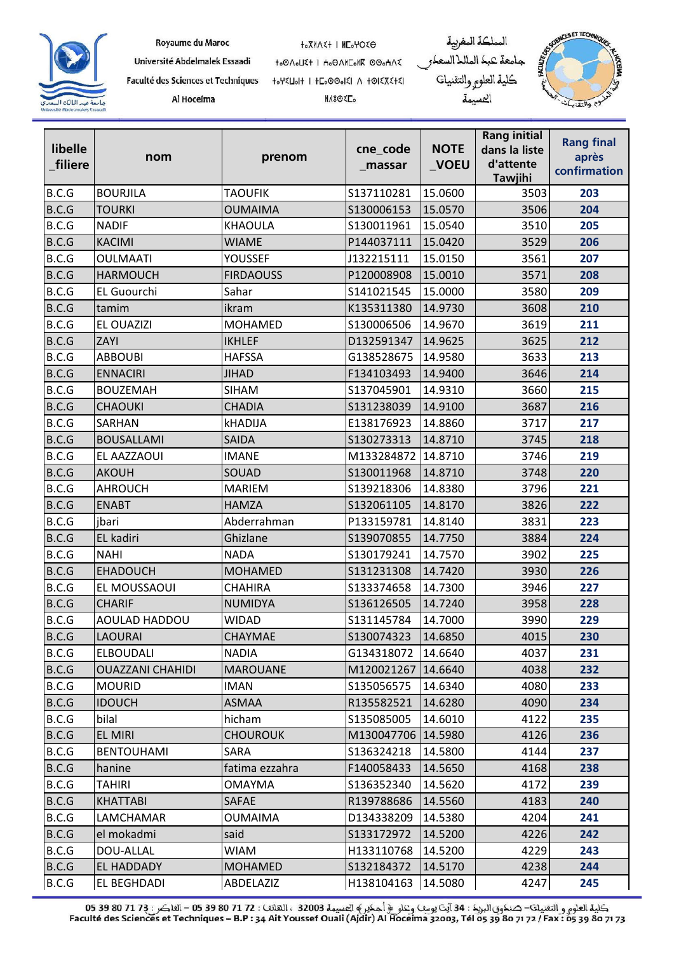

Université Abdelmalek Essaadi Faculté des Sciences et Techniques

Al Hoceima

to OAOUE+ | Ho OANEONE OOOHAE 

**MASORE**.





| libelle<br>filiere | nom                     | prenom           | cne_code<br>_massar | <b>NOTE</b><br>_VOEU | <b>Rang initial</b><br>dans la liste<br>d'attente<br>Tawjihi | <b>Rang final</b><br>après<br>confirmation |
|--------------------|-------------------------|------------------|---------------------|----------------------|--------------------------------------------------------------|--------------------------------------------|
| B.C.G              | <b>BOURJILA</b>         | <b>TAOUFIK</b>   | S137110281          | 15.0600              | 3503                                                         | 203                                        |
| B.C.G              | <b>TOURKI</b>           | <b>OUMAIMA</b>   | S130006153          | 15.0570              | 3506                                                         | 204                                        |
| B.C.G              | <b>NADIF</b>            | <b>KHAOULA</b>   | S130011961          | 15.0540              | 3510                                                         | 205                                        |
| B.C.G              | <b>KACIMI</b>           | <b>WIAME</b>     | P144037111          | 15.0420              | 3529                                                         | 206                                        |
| B.C.G              | <b>OULMAATI</b>         | <b>YOUSSEF</b>   | J132215111          | 15.0150              | 3561                                                         | 207                                        |
| B.C.G              | <b>HARMOUCH</b>         | <b>FIRDAOUSS</b> | P120008908          | 15.0010              | 3571                                                         | 208                                        |
| B.C.G              | <b>EL Guourchi</b>      | Sahar            | S141021545          | 15.0000              | 3580                                                         | 209                                        |
| B.C.G              | tamim                   | ikram            | K135311380          | 14.9730              | 3608                                                         | 210                                        |
| B.C.G              | EL OUAZIZI              | <b>MOHAMED</b>   | S130006506          | 14.9670              | 3619                                                         | 211                                        |
| B.C.G              | ZAYI                    | <b>IKHLEF</b>    | D132591347          | 14.9625              | 3625                                                         | 212                                        |
| B.C.G              | <b>ABBOUBI</b>          | <b>HAFSSA</b>    | G138528675          | 14.9580              | 3633                                                         | 213                                        |
| B.C.G              | <b>ENNACIRI</b>         | <b>JIHAD</b>     | F134103493          | 14.9400              | 3646                                                         | 214                                        |
| B.C.G              | <b>BOUZEMAH</b>         | <b>SIHAM</b>     | S137045901          | 14.9310              | 3660                                                         | 215                                        |
| B.C.G              | <b>CHAOUKI</b>          | <b>CHADIA</b>    | S131238039          | 14.9100              | 3687                                                         | 216                                        |
| B.C.G              | SARHAN                  | <b>kHADIJA</b>   | E138176923          | 14.8860              | 3717                                                         | 217                                        |
| B.C.G              | <b>BOUSALLAMI</b>       | <b>SAIDA</b>     | S130273313          | 14.8710              | 3745                                                         | 218                                        |
| B.C.G              | EL AAZZAOUI             | <b>IMANE</b>     | M133284872          | 14.8710              | 3746                                                         | 219                                        |
| B.C.G              | <b>AKOUH</b>            | SOUAD            | S130011968          | 14.8710              | 3748                                                         | 220                                        |
| B.C.G              | <b>AHROUCH</b>          | <b>MARIEM</b>    | S139218306          | 14.8380              | 3796                                                         | 221                                        |
| B.C.G              | <b>ENABT</b>            | <b>HAMZA</b>     | S132061105          | 14.8170              | 3826                                                         | 222                                        |
| B.C.G              | jbari                   | Abderrahman      | P133159781          | 14.8140              | 3831                                                         | 223                                        |
| B.C.G              | EL kadiri               | Ghizlane         | S139070855          | 14.7750              | 3884                                                         | 224                                        |
| B.C.G              | <b>NAHI</b>             | <b>NADA</b>      | S130179241          | 14.7570              | 3902                                                         | 225                                        |
| B.C.G              | <b>EHADOUCH</b>         | <b>MOHAMED</b>   | S131231308          | 14.7420              | 3930                                                         | 226                                        |
| B.C.G              | EL MOUSSAOUI            | <b>CHAHIRA</b>   | S133374658          | 14.7300              | 3946                                                         | 227                                        |
| B.C.G              | <b>CHARIF</b>           | NUMIDYA          | S136126505          | 14.7240              | 3958                                                         | 228                                        |
| B.C.G              | AOULAD HADDOU           | WIDAD            | S131145784          | 14.7000              | 3990                                                         | 229                                        |
| B.C.G              | <b>LAOURAI</b>          | <b>CHAYMAE</b>   | S130074323          | 14.6850              | 4015                                                         | 230                                        |
| B.C.G              | <b>ELBOUDALI</b>        | <b>NADIA</b>     | G134318072          | 14.6640              | 4037                                                         | 231                                        |
| B.C.G              | <b>OUAZZANI CHAHIDI</b> | <b>MAROUANE</b>  | M120021267 14.6640  |                      | 4038                                                         | 232                                        |
| B.C.G              | <b>MOURID</b>           | <b>IMAN</b>      | S135056575          | 14.6340              | 4080                                                         | 233                                        |
| B.C.G              | <b>IDOUCH</b>           | <b>ASMAA</b>     | R135582521          | 14.6280              | 4090                                                         | 234                                        |
| B.C.G              | bilal                   | hicham           | S135085005          | 14.6010              | 4122                                                         | 235                                        |
| B.C.G              | <b>EL MIRI</b>          | <b>CHOUROUK</b>  | M130047706 14.5980  |                      | 4126                                                         | 236                                        |
| B.C.G              | <b>BENTOUHAMI</b>       | SARA             | S136324218          | 14.5800              | 4144                                                         | 237                                        |
| B.C.G              | hanine                  | fatima ezzahra   | F140058433          | 14.5650              | 4168                                                         | 238                                        |
| B.C.G              | <b>TAHIRI</b>           | OMAYMA           | S136352340          | 14.5620              | 4172                                                         | 239                                        |
| B.C.G              | <b>KHATTABI</b>         | <b>SAFAE</b>     | R139788686          | 14.5560              | 4183                                                         | 240                                        |
| B.C.G              | LAMCHAMAR               | OUMAIMA          | D134338209          | 14.5380              | 4204                                                         | 241                                        |
| B.C.G              | el mokadmi              | said             | S133172972          | 14.5200              | 4226                                                         | 242                                        |
| B.C.G              | DOU-ALLAL               | <b>WIAM</b>      | H133110768          | 14.5200              | 4229                                                         | 243                                        |
| B.C.G              | EL HADDADY              | <b>MOHAMED</b>   | S132184372          | 14.5170              | 4238                                                         | 244                                        |
| B.C.G              | <b>EL BEGHDADI</b>      | ABDELAZIZ        | H138104163          | 14.5080              | 4247                                                         | 245                                        |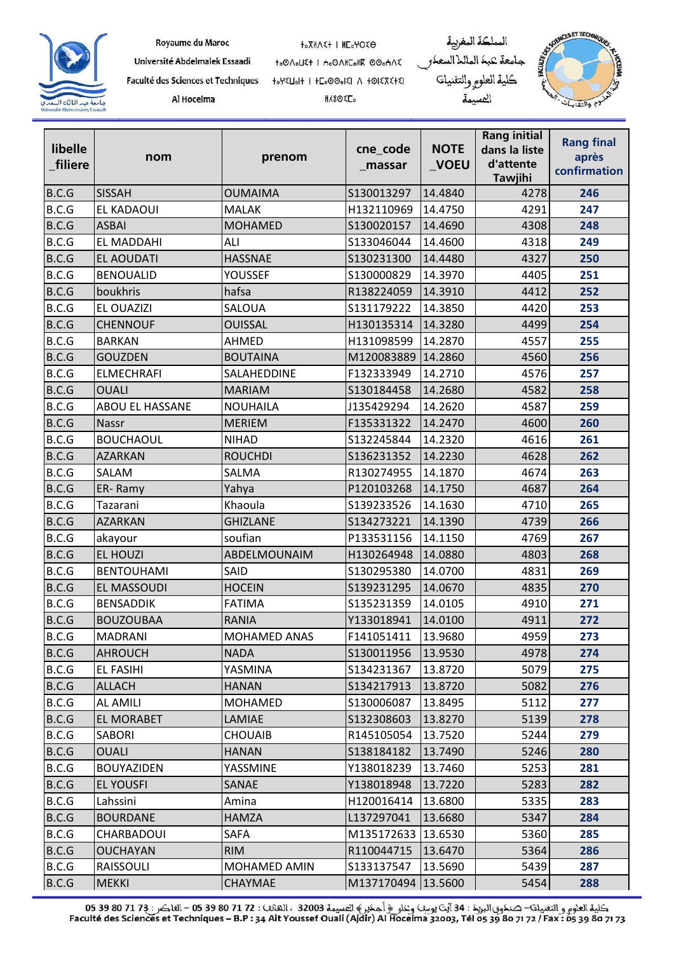

Université Abdelmalek Essaadi Faculté des Sciences et Techniques

Al Hoceima

to OAOUE+ | Ho OANEONK OOOHAE 

**MASORE**.





| libelle<br>filiere | nom                    | prenom              | cne_code<br>_massar | <b>NOTE</b><br>$\sqrt{}$ VOEU | <b>Rang initial</b><br>dans la liste<br>d'attente<br><b>Tawjihi</b> | <b>Rang final</b><br>après<br>confirmation |
|--------------------|------------------------|---------------------|---------------------|-------------------------------|---------------------------------------------------------------------|--------------------------------------------|
| B.C.G              | <b>SISSAH</b>          | <b>OUMAIMA</b>      | S130013297          | 14.4840                       | 4278                                                                | 246                                        |
| B.C.G              | EL KADAOUI             | <b>MALAK</b>        | H132110969          | 14.4750                       | 4291                                                                | 247                                        |
| B.C.G              | <b>ASBAI</b>           | <b>MOHAMED</b>      | S130020157          | 14.4690                       | 4308                                                                | 248                                        |
| B.C.G              | <b>EL MADDAHI</b>      | ALI                 | S133046044          | 14.4600                       | 4318                                                                | 249                                        |
| B.C.G              | <b>EL AOUDATI</b>      | <b>HASSNAE</b>      | S130231300          | 14.4480                       | 4327                                                                | 250                                        |
| B.C.G              | <b>BENOUALID</b>       | YOUSSEF             | S130000829          | 14.3970                       | 4405                                                                | 251                                        |
| B.C.G              | boukhris               | hafsa               | R138224059          | 14.3910                       | 4412                                                                | 252                                        |
| B.C.G              | EL OUAZIZI             | <b>SALOUA</b>       | S131179222          | 14.3850                       | 4420                                                                | 253                                        |
| B.C.G              | <b>CHENNOUF</b>        | <b>OUISSAL</b>      | H130135314          | 14.3280                       | 4499                                                                | 254                                        |
| B.C.G              | <b>BARKAN</b>          | <b>AHMED</b>        | H131098599          | 14.2870                       | 4557                                                                | 255                                        |
| B.C.G              | <b>GOUZDEN</b>         | <b>BOUTAINA</b>     | M120083889          | 14.2860                       | 4560                                                                | 256                                        |
| B.C.G              | <b>ELMECHRAFI</b>      | SALAHEDDINE         | F132333949          | 14.2710                       | 4576                                                                | 257                                        |
| B.C.G              | <b>OUALI</b>           | <b>MARIAM</b>       | S130184458          | 14.2680                       | 4582                                                                | 258                                        |
| B.C.G              | <b>ABOU EL HASSANE</b> | <b>NOUHAILA</b>     | J135429294          | 14.2620                       | 4587                                                                | 259                                        |
| B.C.G              | <b>Nassr</b>           | <b>MERIEM</b>       | F135331322          | 14.2470                       | 4600                                                                | 260                                        |
| B.C.G              | <b>BOUCHAOUL</b>       | <b>NIHAD</b>        | S132245844          | 14.2320                       | 4616                                                                | 261                                        |
| B.C.G              | <b>AZARKAN</b>         | <b>ROUCHDI</b>      | S136231352          | 14.2230                       | 4628                                                                | 262                                        |
| B.C.G              | SALAM                  | SALMA               | R130274955          | 14.1870                       | 4674                                                                | 263                                        |
| B.C.G              | ER-Ramy                | Yahya               | P120103268          | 14.1750                       | 4687                                                                | 264                                        |
| B.C.G              | Tazarani               | Khaoula             | S139233526          | 14.1630                       | 4710                                                                | 265                                        |
| B.C.G              | <b>AZARKAN</b>         | <b>GHIZLANE</b>     | S134273221          | 14.1390                       | 4739                                                                | 266                                        |
| B.C.G              | akayour                | soufian             | P133531156          | 14.1150                       | 4769                                                                | 267                                        |
| B.C.G              | <b>EL HOUZI</b>        | ABDELMOUNAIM        | H130264948          | 14.0880                       | 4803                                                                | 268                                        |
| B.C.G              | <b>BENTOUHAMI</b>      | SAID                | S130295380          | 14.0700                       | 4831                                                                | 269                                        |
| B.C.G              | <b>EL MASSOUDI</b>     | <b>HOCEIN</b>       | S139231295          | 14.0670                       | 4835                                                                | 270                                        |
| B.C.G              | <b>BENSADDIK</b>       | <b>FATIMA</b>       | S135231359          | 14.0105                       | 4910                                                                | 271                                        |
| B.C.G              | <b>BOUZOUBAA</b>       | <b>RANIA</b>        | Y133018941          | 14.0100                       | 4911                                                                | 272                                        |
| B.C.G              | <b>MADRANI</b>         | <b>MOHAMED ANAS</b> | F141051411          | 13.9680                       | 4959                                                                | 273                                        |
| B.C.G              | <b>AHROUCH</b>         | <b>NADA</b>         | S130011956          | 13.9530                       | 4978                                                                | 274                                        |
| B.C.G              | EL FASIHI              | YASMINA             | S134231367          | 13.8720                       | 5079                                                                | 275                                        |
| B.C.G              | <b>ALLACH</b>          | <b>HANAN</b>        | S134217913          | 13.8720                       | 5082                                                                | 276                                        |
| B.C.G              | AL AMILI               | MOHAMED             | S130006087          | 13.8495                       | 5112                                                                | 277                                        |
| B.C.G              | <b>EL MORABET</b>      | LAMIAE              | S132308603          | 13.8270                       | 5139                                                                | 278                                        |
| B.C.G              | SABORI                 | <b>CHOUAIB</b>      | R145105054          | 13.7520                       | 5244                                                                | 279                                        |
| B.C.G              | <b>OUALI</b>           | <b>HANAN</b>        | S138184182          | 13.7490                       | 5246                                                                | 280                                        |
| B.C.G              | <b>BOUYAZIDEN</b>      | YASSMINE            | Y138018239          | 13.7460                       | 5253                                                                | 281                                        |
| B.C.G              | <b>EL YOUSFI</b>       | SANAE               | Y138018948          | 13.7220                       | 5283                                                                | 282                                        |
| B.C.G              | Lahssini               | Amina               | H120016414          | 13.6800                       | 5335                                                                | 283                                        |
| B.C.G              | <b>BOURDANE</b>        | HAMZA               | L137297041          | 13.6680                       | 5347                                                                | 284                                        |
| B.C.G              | CHARBADOUI             | SAFA                | M135172633 13.6530  |                               | 5360                                                                | 285                                        |
| B.C.G              | <b>OUCHAYAN</b>        | <b>RIM</b>          | R110044715          | 13.6470                       | 5364                                                                | 286                                        |
| B.C.G              | RAISSOULI              | MOHAMED AMIN        | S133137547          | 13.5690                       | 5439                                                                | 287                                        |
| B.C.G              | <b>MEKKI</b>           | CHAYMAE             | M137170494 13.5600  |                               | 5454                                                                | 288                                        |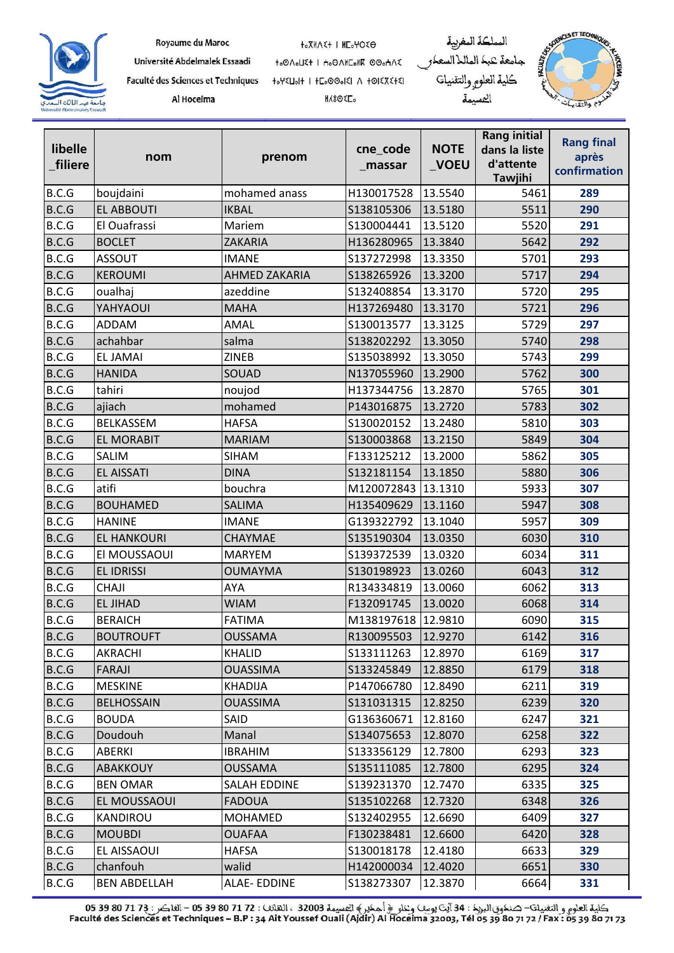

Université Abdelmalek Essaadi Faculté des Sciences et Techniques

Al Hoceima

to OAOUE+ | Ho OANEONE OOOHAE 

**MASORE**.





| libelle<br>filiere | nom                 | prenom               | cne_code<br>_massar | <b>NOTE</b><br>$\sqrt{}$ VOEU | <b>Rang initial</b><br>dans la liste<br>d'attente<br><b>Tawjihi</b> | <b>Rang final</b><br>après<br>confirmation |
|--------------------|---------------------|----------------------|---------------------|-------------------------------|---------------------------------------------------------------------|--------------------------------------------|
| B.C.G              | boujdaini           | mohamed anass        | H130017528          | 13.5540                       | 5461                                                                | 289                                        |
| B.C.G              | <b>EL ABBOUTI</b>   | <b>IKBAL</b>         | S138105306          | 13.5180                       | 5511                                                                | 290                                        |
| B.C.G              | El Ouafrassi        | Mariem               | S130004441          | 13.5120                       | 5520                                                                | 291                                        |
| B.C.G              | <b>BOCLET</b>       | ZAKARIA              | H136280965          | 13.3840                       | 5642                                                                | 292                                        |
| B.C.G              | <b>ASSOUT</b>       | <b>IMANE</b>         | S137272998          | 13.3350                       | 5701                                                                | 293                                        |
| B.C.G              | <b>KEROUMI</b>      | <b>AHMED ZAKARIA</b> | S138265926          | 13.3200                       | 5717                                                                | 294                                        |
| B.C.G              | oualhaj             | azeddine             | S132408854          | 13.3170                       | 5720                                                                | 295                                        |
| B.C.G              | YAHYAOUI            | <b>MAHA</b>          | H137269480          | 13.3170                       | 5721                                                                | 296                                        |
| B.C.G              | ADDAM               | AMAL                 | S130013577          | 13.3125                       | 5729                                                                | 297                                        |
| B.C.G              | achahbar            | salma                | S138202292          | 13.3050                       | 5740                                                                | 298                                        |
| B.C.G              | <b>EL JAMAI</b>     | <b>ZINEB</b>         | S135038992          | 13.3050                       | 5743                                                                | 299                                        |
| B.C.G              | <b>HANIDA</b>       | SOUAD                | N137055960          | 13.2900                       | 5762                                                                | 300                                        |
| B.C.G              | tahiri              | noujod               | H137344756          | 13.2870                       | 5765                                                                | 301                                        |
| B.C.G              | ajiach              | mohamed              | P143016875          | 13.2720                       | 5783                                                                | 302                                        |
| B.C.G              | <b>BELKASSEM</b>    | <b>HAFSA</b>         | S130020152          | 13.2480                       | 5810                                                                | 303                                        |
| B.C.G              | <b>EL MORABIT</b>   | <b>MARIAM</b>        | S130003868          | 13.2150                       | 5849                                                                | 304                                        |
| B.C.G              | SALIM               | <b>SIHAM</b>         | F133125212          | 13.2000                       | 5862                                                                | 305                                        |
| B.C.G              | <b>EL AISSATI</b>   | <b>DINA</b>          | S132181154          | 13.1850                       | 5880                                                                | 306                                        |
| B.C.G              | atifi               | bouchra              | M120072843          | 13.1310                       | 5933                                                                | 307                                        |
| B.C.G              | <b>BOUHAMED</b>     | <b>SALIMA</b>        | H135409629          | 13.1160                       | 5947                                                                | 308                                        |
| B.C.G              | <b>HANINE</b>       | <b>IMANE</b>         | G139322792          | 13.1040                       | 5957                                                                | 309                                        |
| B.C.G              | <b>EL HANKOURI</b>  | CHAYMAE              | S135190304          | 13.0350                       | 6030                                                                | 310                                        |
| B.C.G              | El MOUSSAOUI        | <b>MARYEM</b>        | S139372539          | 13.0320                       | 6034                                                                | 311                                        |
| B.C.G              | <b>EL IDRISSI</b>   | <b>OUMAYMA</b>       | S130198923          | 13.0260                       | 6043                                                                | 312                                        |
| B.C.G              | CHAJI               | AYA                  | R134334819          | 13.0060                       | 6062                                                                | 313                                        |
| B.C.G              | <b>EL JIHAD</b>     | <b>WIAM</b>          | F132091745          | 13.0020                       | 6068                                                                | 314                                        |
| B.C.G              | <b>BERAICH</b>      | <b>FATIMA</b>        | M138197618          | 12.9810                       | 6090                                                                | 315                                        |
| B.C.G              | <b>BOUTROUFT</b>    | OUSSAMA              | R130095503          | 12.9270                       | 6142                                                                | 316                                        |
| B.C.G              | AKRACHI             | KHALID               | S133111263          | 12.8970                       | 6169                                                                | 317                                        |
| B.C.G              | FARAJI              | <b>OUASSIMA</b>      | S133245849          | 12.8850                       | 6179                                                                | 318                                        |
| B.C.G              | <b>MESKINE</b>      | <b>KHADIJA</b>       | P147066780          | 12.8490                       | 6211                                                                | 319                                        |
| B.C.G              | <b>BELHOSSAIN</b>   | OUASSIMA             | S131031315          | 12.8250                       | 6239                                                                | 320                                        |
| B.C.G              | <b>BOUDA</b>        | <b>SAID</b>          | G136360671          | 12.8160                       | 6247                                                                | 321                                        |
| B.C.G              | Doudouh             | Manal                | S134075653          | 12.8070                       | 6258                                                                | 322                                        |
| B.C.G              | ABERKI              | <b>IBRAHIM</b>       | S133356129          | 12.7800                       | 6293                                                                | 323                                        |
| B.C.G              | ABAKKOUY            | <b>OUSSAMA</b>       | S135111085          | 12.7800                       | 6295                                                                | 324                                        |
| B.C.G              | <b>BEN OMAR</b>     | <b>SALAH EDDINE</b>  | S139231370          | 12.7470                       | 6335                                                                | 325                                        |
| B.C.G              | EL MOUSSAOUI        | <b>FADOUA</b>        | S135102268          | 12.7320                       | 6348                                                                | 326                                        |
| B.C.G              | KANDIROU            | <b>MOHAMED</b>       | S132402955          | 12.6690                       | 6409                                                                | 327                                        |
| B.C.G              | <b>MOUBDI</b>       | <b>OUAFAA</b>        | F130238481          | 12.6600                       | 6420                                                                | 328                                        |
| B.C.G              | EL AISSAOUI         | HAFSA                | S130018178          | 12.4180                       | 6633                                                                | 329                                        |
| B.C.G              | chanfouh            | walid                | H142000034          | 12.4020                       | 6651                                                                | 330                                        |
| B.C.G              | <b>BEN ABDELLAH</b> | <b>ALAE-EDDINE</b>   | S138273307          | 12.3870                       | 6664                                                                | 331                                        |